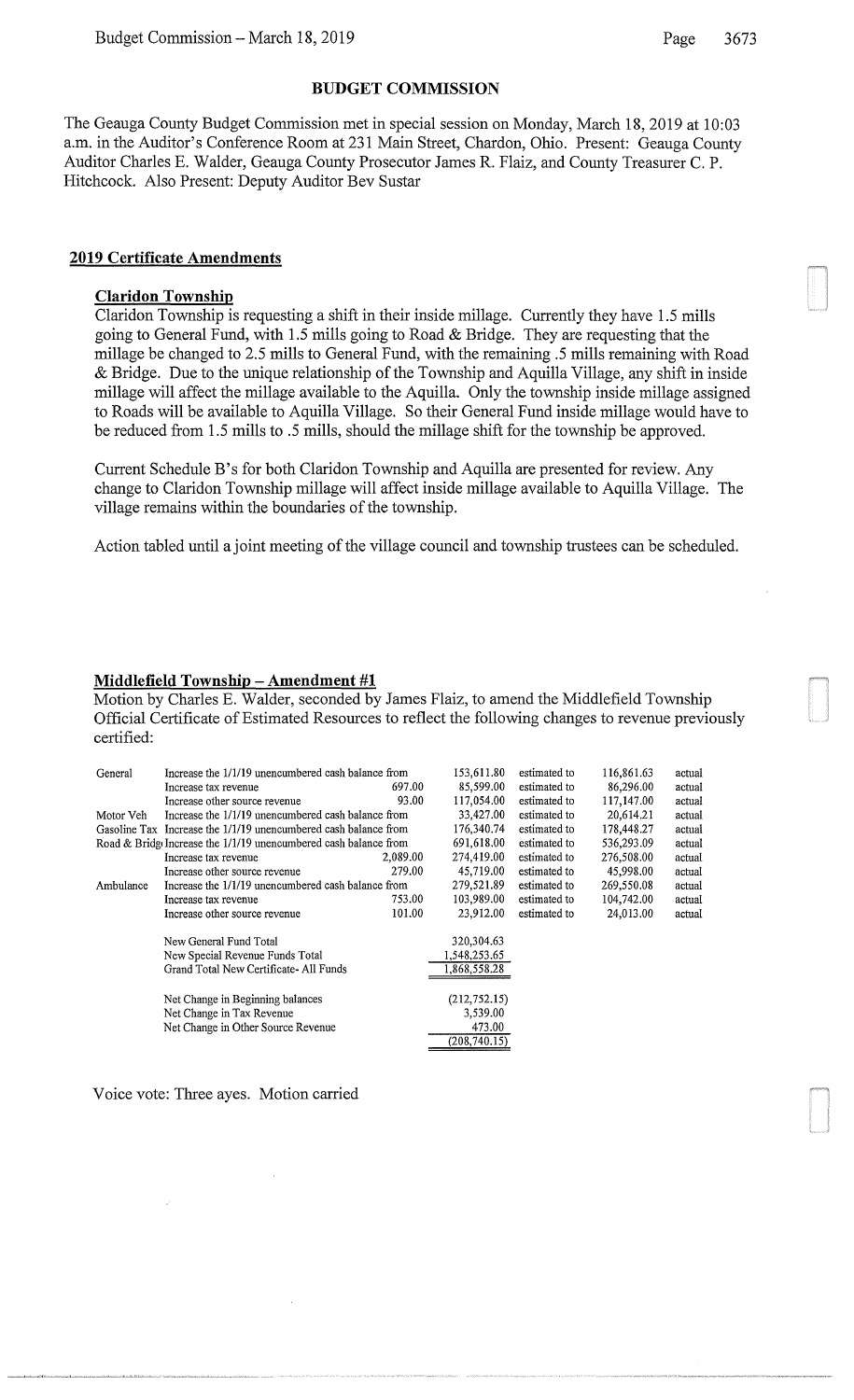### **BUDGET COMMISSION**

The Geauga County Budget Commission met in special session on Monday, March 18, 2019 at 10:03 a.m. in the Auditor's Conference Room at 231 Main Street, Chardon, Ohio. Present: Geauga County Auditor Charles E. Walder, Geauga County Prosecutor James R. Flaiz, and County Treasurer C. P. Hitchcock. Also Present: Deputy Auditor Bev Sustar

### **2019 Certificate Amendments**

## **Claridon Township**

Claridon Township is requesting a shift in their inside millage. Currently they have 1.5 mills going to General Fund, with 1.5 mills going to Road & Bridge. They are requesting that the millage be changed to 2.5 mills to General Fund, with the remaining .5 mills remaining with Road & Bridge. Due to the unique relationship of the Township and Aquilla Village, any shift in inside millage will affect the millage available to the Aquilla. Only the township inside millage assigned to Roads will be available to Aquilla Village. So their General Fund inside millage would have to be reduced from 1.5 mills to .5 mills, should the millage shift for the township be approved.

Current Schedule B's for both Claridon Township and Aquilla are presented for review. Any change to Claridon Township millage will affect inside millage available to Aquilla Village. The village remains within the boundaries of the township.

Action tabled until a joint meeting of the village council and township trustees can be scheduled.

### **Middlefield Township- Amendment #1**

Motion by Charles E. Walder, seconded by James Flaiz, to amend the Middlefield Township Official Certificate of Estimated Resources to reflect the following changes to revenue previously certified:

| General   | Increase the 1/1/19 unencumbered cash balance from               |          | 153,611.80    | estimated to | 116,861.63 | actual |
|-----------|------------------------------------------------------------------|----------|---------------|--------------|------------|--------|
|           | Increase tax revenue                                             | 697.00   | 85,599.00     | estimated to | 86,296.00  | actual |
|           | Increase other source revenue                                    | 93.00    | 117,054.00    | estimated to | 117,147.00 | actual |
| Motor Veh | Increase the 1/1/19 unencumbered cash balance from               |          | 33,427.00     | estimated to | 20,614.21  | actual |
|           | Gasoline Tax Increase the 1/1/19 unencumbered cash balance from  |          | 176,340.74    | estimated to | 178,448.27 | actual |
|           | Road & Bridge Increase the 1/1/19 unencumbered cash balance from |          | 691,618.00    | estimated to | 536,293.09 | actual |
|           | Increase tax revenue                                             | 2,089.00 | 274,419.00    | estimated to | 276,508.00 | actual |
|           | Increase other source revenue                                    | 279.00   | 45,719.00     | estimated to | 45,998.00  | actual |
| Ambulance | Increase the 1/1/19 unencumbered cash balance from               |          | 279,521.89    | estimated to | 269,550.08 | actual |
|           | Increase tax revenue                                             | 753.00   | 103,989.00    | estimated to | 104,742.00 | actual |
|           | Increase other source revenue                                    | 101.00   | 23.912.00     | estimated to | 24,013.00  | actual |
|           | New General Fund Total                                           |          | 320,304.63    |              |            |        |
|           | New Special Revenue Funds Total                                  |          | 1,548,253.65  |              |            |        |
|           | Grand Total New Certificate-All Funds                            |          | 1,868,558.28  |              |            |        |
|           |                                                                  |          |               |              |            |        |
|           | Net Change in Beginning balances                                 |          | (212, 752.15) |              |            |        |
|           | Net Change in Tax Revenue                                        |          | 3,539.00      |              |            |        |
|           | Net Change in Other Source Revenue                               |          | 473.00        |              |            |        |
|           |                                                                  |          | (208, 740.15) |              |            |        |

Voice vote: Three ayes. Motion carried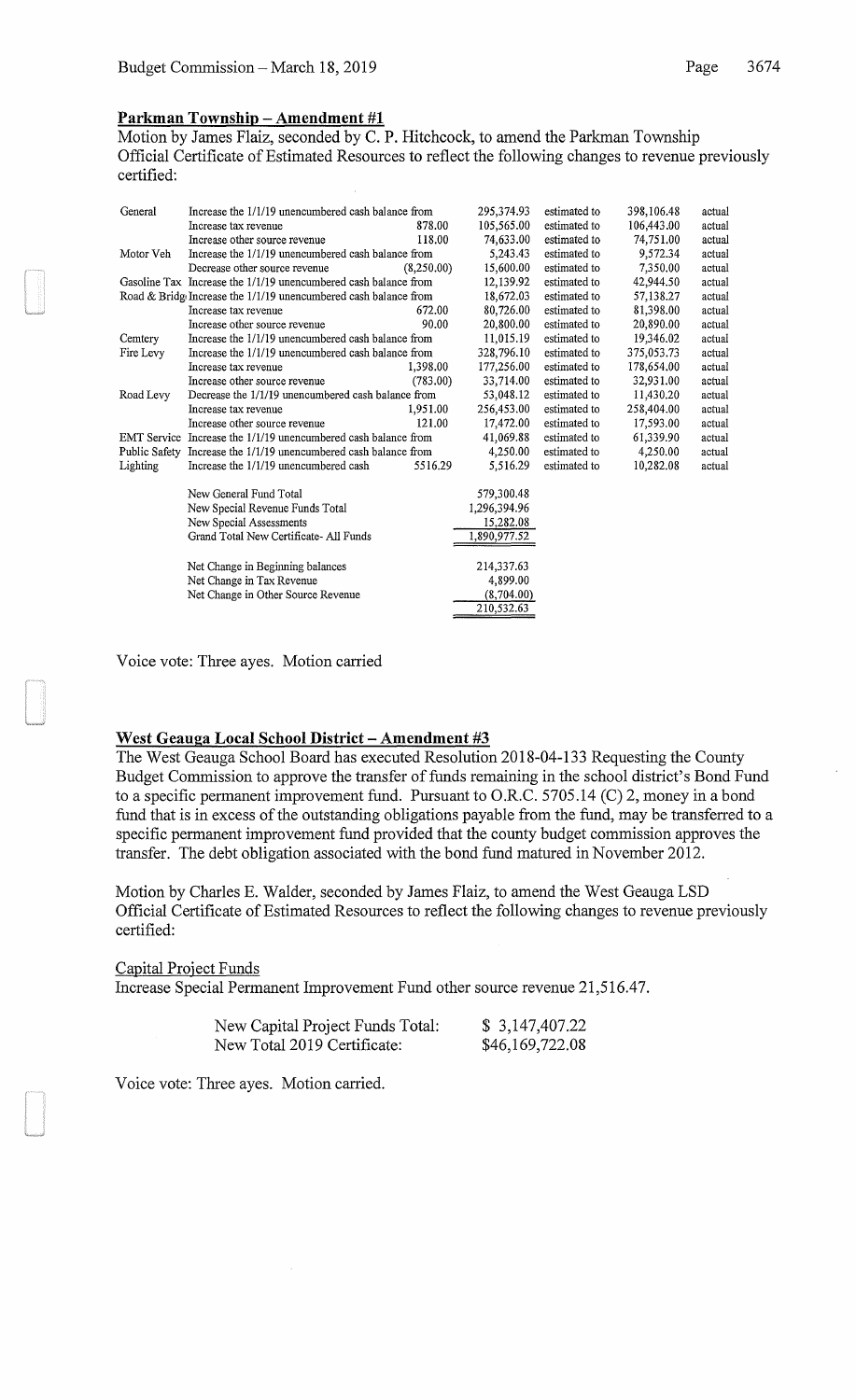### **Parkman Township- Amendment #1**

Motion by James Flaiz, seconded by C. P. Hitchcock, to amend the Parkman Township Official Certificate of Estimated Resources to reflect the following changes to revenue previously certified:

| General   | Increase the 1/1/19 unencumbered cash balance from               |            | 295,374.93   | estimated to | 398,106.48 | actual |
|-----------|------------------------------------------------------------------|------------|--------------|--------------|------------|--------|
|           | Increase tax revenue                                             | 878.00     | 105,565.00   | estimated to | 106,443.00 | actual |
|           | Increase other source revenue                                    | 118.00     | 74,633.00    | estimated to | 74,751.00  | actual |
| Motor Veh | Increase the 1/1/19 unencumbered cash balance from               |            | 5,243.43     | estimated to | 9,572.34   | actual |
|           | Decrease other source revenue                                    | (8,250.00) | 15,600.00    | estimated to | 7,350.00   | actual |
|           | Gasoline Tax Increase the 1/1/19 unencumbered cash balance from  |            | 12,139.92    | estimated to | 42,944.50  | actual |
|           | Road & Bridge Increase the 1/1/19 unencumbered cash balance from |            | 18,672.03    | estimated to | 57,138.27  | actual |
|           | Increase tax revenue                                             | 672.00     | 80,726.00    | estimated to | 81,398.00  | actual |
|           | Increase other source revenue                                    | 90.00      | 20,800.00    | estimated to | 20,890.00  | actual |
| Cemtery   | Increase the 1/1/19 unencumbered cash balance from               |            | 11,015.19    | estimated to | 19,346.02  | actual |
| Fire Levy | Increase the 1/1/19 unencumbered cash balance from               |            | 328,796.10   | estimated to | 375,053.73 | actual |
|           | Increase tax revenue                                             | 1.398.00   | 177,256.00   | estimated to | 178,654,00 | actual |
|           | Increase other source revenue                                    | (783.00)   | 33,714.00    | estimated to | 32,931.00  | actual |
| Road Levy | Decrease the 1/1/19 unencumbered cash balance from               |            | 53,048.12    | estimated to | 11,430,20  | actual |
|           | Increase tax revenue                                             | 1.951.00   | 256,453.00   | estimated to | 258,404.00 | actual |
|           | Increase other source revenue                                    | 121.00     | 17,472.00    | estimated to | 17,593.00  | actual |
|           | EMT Service Increase the 1/1/19 unencumbered cash balance from   |            | 41,069.88    | estimated to | 61,339.90  | actual |
|           | Public Safety Increase the 1/1/19 unencumbered cash balance from |            | 4,250.00     | estimated to | 4,250.00   | actual |
| Lighting  | Increase the 1/1/19 unencumbered cash                            | 5516.29    | 5,516.29     | estimated to | 10,282.08  | actual |
|           | New General Fund Total                                           |            | 579,300.48   |              |            |        |
|           | New Special Revenue Funds Total                                  |            | 1,296,394.96 |              |            |        |
|           | New Special Assessments                                          |            | 15,282.08    |              |            |        |
|           | Grand Total New Certificate-All Funds                            |            | 1,890,977.52 |              |            |        |
|           |                                                                  |            |              |              |            |        |
|           | Net Change in Beginning balances                                 |            | 214,337.63   |              |            |        |
|           | Net Change in Tax Revenue                                        |            | 4,899.00     |              |            |        |
|           | Net Change in Other Source Revenue                               |            | (8,704.00)   |              |            |        |
|           |                                                                  |            | 210,532.63   |              |            |        |
|           |                                                                  |            |              |              |            |        |

Voice vote: Three ayes. Motion carried

## **West Geauga Local School District- Amendment #3**

The West Geauga School Board has executed Resolution 2018-04-133 Requesting the County Budget Commission to approve the transfer of funds remaining in the school district's Bond Fund to a specific permanent improvement fund. Pursuant to O.R.C. 5705.14 (C) 2, money in a bond fund that is in excess of the outstanding obligations payable from the fund, may be transferred to a specific permanent improvement fund provided that the county budget commission approves the transfer. The debt obligation associated with the bond fund matured in November 2012.

Motion by Charles E. Walder, seconded by James Flaiz, to amend the West Geauga LSD Official Certificate of Estimated Resources to reflect the following changes to revenue previously certified:

### Capital Project Funds

Increase Special Permanent Improvement Fund other source revenue 21,516.47.

| New Capital Project Funds Total: | \$3,147,407.22  |
|----------------------------------|-----------------|
| New Total 2019 Certificate:      | \$46,169,722.08 |

Voice vote: Three ayes. Motion carried.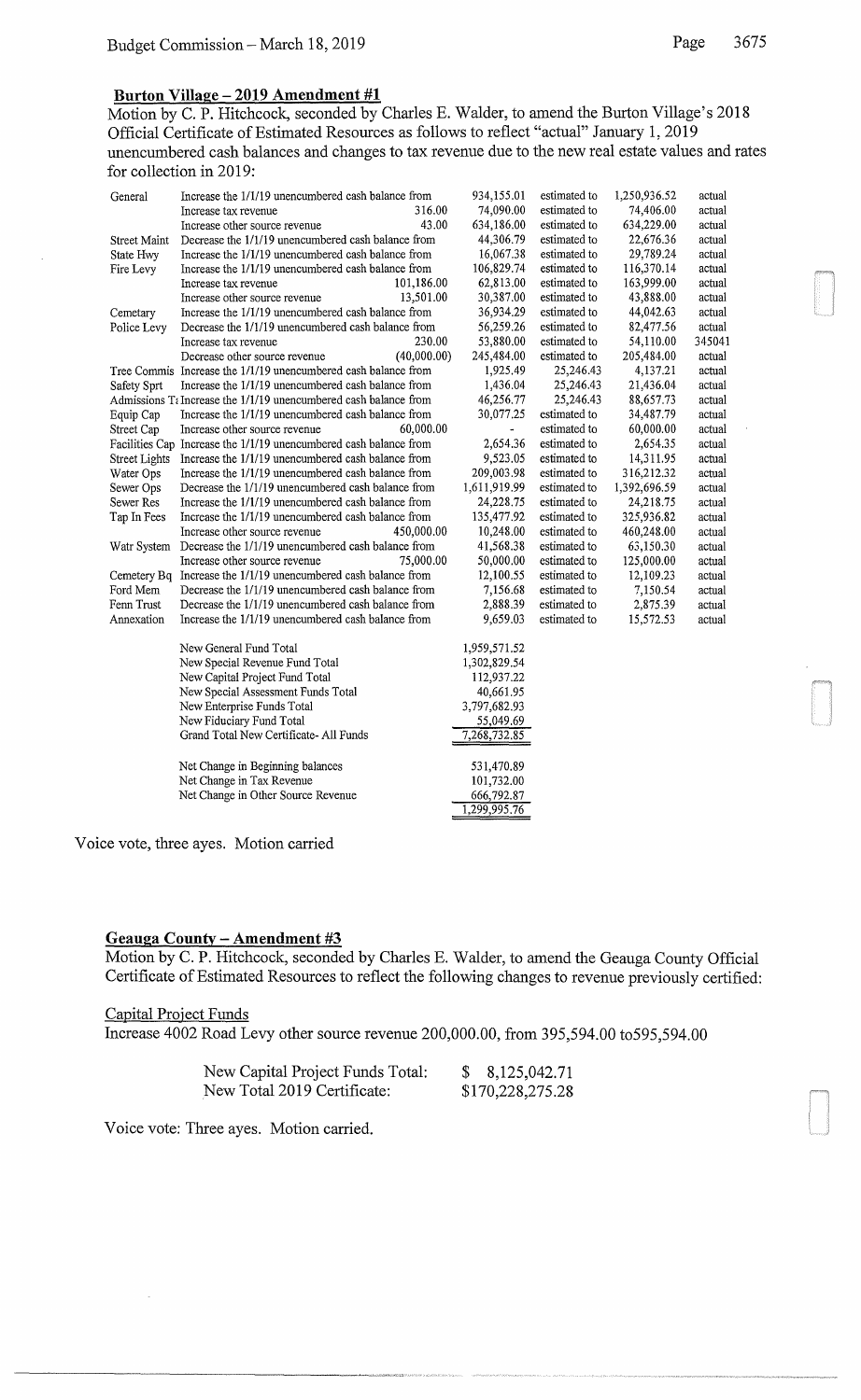# **Burton Village- 2019 Amendment #1**

Motion by C. P. Hitchcock, seconded by Charles E. Walder, to amend the Burton Village's 2018 Official Certificate of Estimated Resources as follows to reflect "actual" January 1, 2019 unencumbered cash balances and changes to tax revenue due to the new real estate values and rates for collection in 2019:

| General              | Increase the 1/1/19 unencumbered cash balance from                   | 934,155.01               | estimated to | 1,250,936.52 | actual |
|----------------------|----------------------------------------------------------------------|--------------------------|--------------|--------------|--------|
|                      | 316.00<br>Increase tax revenue                                       | 74,090.00                | estimated to | 74,406.00    | actual |
|                      | 43.00<br>Increase other source revenue                               | 634,186.00               | estimated to | 634,229.00   | actual |
| <b>Street Maint</b>  | Decrease the 1/1/19 unencumbered cash balance from                   | 44,306.79                | estimated to | 22,676.36    | actual |
| State Hwy            | Increase the 1/1/19 unencumbered cash balance from                   | 16,067.38                | estimated to | 29,789.24    | actual |
| Fire Levy            | Increase the 1/1/19 unencumbered cash balance from                   | 106,829.74               | estimated to | 116,370.14   | actual |
|                      | 101,186.00<br>Increase tax revenue                                   | 62,813.00                | estimated to | 163,999.00   | actual |
|                      | 13,501.00<br>Increase other source revenue                           | 30,387.00                | estimated to | 43,888.00    | actual |
| Cemetary             | Increase the 1/1/19 unencumbered cash balance from                   | 36,934.29                | estimated to | 44,042.63    | actual |
| Police Levy          | Decrease the 1/1/19 unencumbered cash balance from                   | 56,259.26                | estimated to | 82,477.56    | actual |
|                      | 230.00<br>Increase tax revenue                                       | 53,880.00                | estimated to | 54,110.00    | 345041 |
|                      | (40,000,00)<br>Decrease other source revenue                         | 245,484.00               | estimated to | 205,484.00   | actual |
|                      | Tree Commis Increase the 1/1/19 unencumbered cash balance from       | 1,925.49                 | 25,246.43    | 4,137.21     | actual |
| Safety Sprt          | Increase the 1/1/19 unencumbered cash balance from                   | 1,436.04                 | 25,246.43    | 21,436.04    | actual |
|                      | Admissions $T\in$ Increase the 1/1/19 unencumbered cash balance from | 46,256.77                | 25,246.43    | 88,657.73    | actual |
| Equip Cap            | Increase the 1/1/19 unencumbered cash balance from                   | 30,077.25                | estimated to | 34,487.79    | actual |
| Street Cap           | 60,000.00<br>Increase other source revenue                           |                          | estimated to | 60,000.00    | actual |
|                      | Facilities Cap Increase the 1/1/19 unencumbered cash balance from    | 2,654.36                 | estimated to | 2,654.35     | actual |
| <b>Street Lights</b> | Increase the 1/1/19 unencumbered cash balance from                   | 9,523.05                 | estimated to | 14,311.95    | actual |
| Water Ops            | Increase the 1/1/19 unencumbered cash balance from                   | 209,003.98               | estimated to | 316,212.32   | actual |
| Sewer Ops            | Decrease the 1/1/19 unencumbered cash balance from                   | 1,611,919.99             | estimated to | 1,392,696.59 | actual |
| Sewer Res            | Increase the 1/1/19 unencumbered cash balance from                   | 24,228.75                | estimated to | 24,218.75    | actual |
| Tap In Fees          | Increase the 1/1/19 unencumbered cash balance from                   | 135,477.92               | estimated to | 325,936.82   | actual |
|                      | Increase other source revenue<br>450,000.00                          | 10,248.00                | estimated to | 460,248.00   | actual |
| Watr System          | Decrease the 1/1/19 unencumbered cash balance from                   | 41,568.38                | estimated to | 63,150.30    | actual |
|                      | Increase other source revenue<br>75,000.00                           | 50,000.00                | estimated to | 125,000.00   | actual |
|                      | Cemetery Bq Increase the 1/1/19 unencumbered cash balance from       | 12,100.55                | estimated to | 12,109.23    | actual |
| Ford Mem             | Decrease the 1/1/19 unencumbered cash balance from                   | 7,156.68                 | estimated to | 7,150.54     | actual |
| Fenn Trust           | Decrease the 1/1/19 unencumbered cash balance from                   | 2,888.39                 | estimated to | 2,875.39     | actual |
| Annexation           | Increase the 1/1/19 unencumbered cash balance from                   | 9,659.03                 | estimated to | 15,572.53    | actual |
|                      |                                                                      |                          |              |              |        |
|                      | New General Fund Total                                               | 1,959,571.52             |              |              |        |
|                      | New Special Revenue Fund Total                                       | 1,302,829.54             |              |              |        |
|                      | New Capital Project Fund Total                                       | 112,937.22               |              |              |        |
|                      | New Special Assessment Funds Total                                   | 40,661.95                |              |              |        |
|                      | New Enterprise Funds Total                                           | 3,797,682.93             |              |              |        |
|                      | New Fiduciary Fund Total                                             | 55,049.69                |              |              |        |
|                      | Grand Total New Certificate- All Funds                               | 7,268,732.85             |              |              |        |
|                      |                                                                      |                          |              |              |        |
|                      | Net Change in Beginning balances<br>Net Change in Tax Revenue        | 531,470.89<br>101,732.00 |              |              |        |
|                      |                                                                      |                          |              |              |        |
|                      | Net Change in Other Source Revenue                                   | 666,792.87               |              |              |        |
|                      |                                                                      | 1,299,995.76             |              |              |        |

Voice vote, three ayes. Motion carried

### **Geauga County - Amendment #3**

Motion by C. P. Hitchcock, seconded by Charles E. Walder, to amend the Geauga County Official Certificate of Estimated Resources to reflect the following changes to revenue previously certified:

### Capital Project Funds

Increase 4002 Road Levy other source revenue 200,000.00, from 395,594.00 to595,594.00

| New Capital Project Funds Total: | 8, 125, 042. 71  |
|----------------------------------|------------------|
| New Total 2019 Certificate:      | \$170,228,275.28 |

Voice vote: Three ayes. Motion carried.

--------------------~--.~-~-~~·'-'"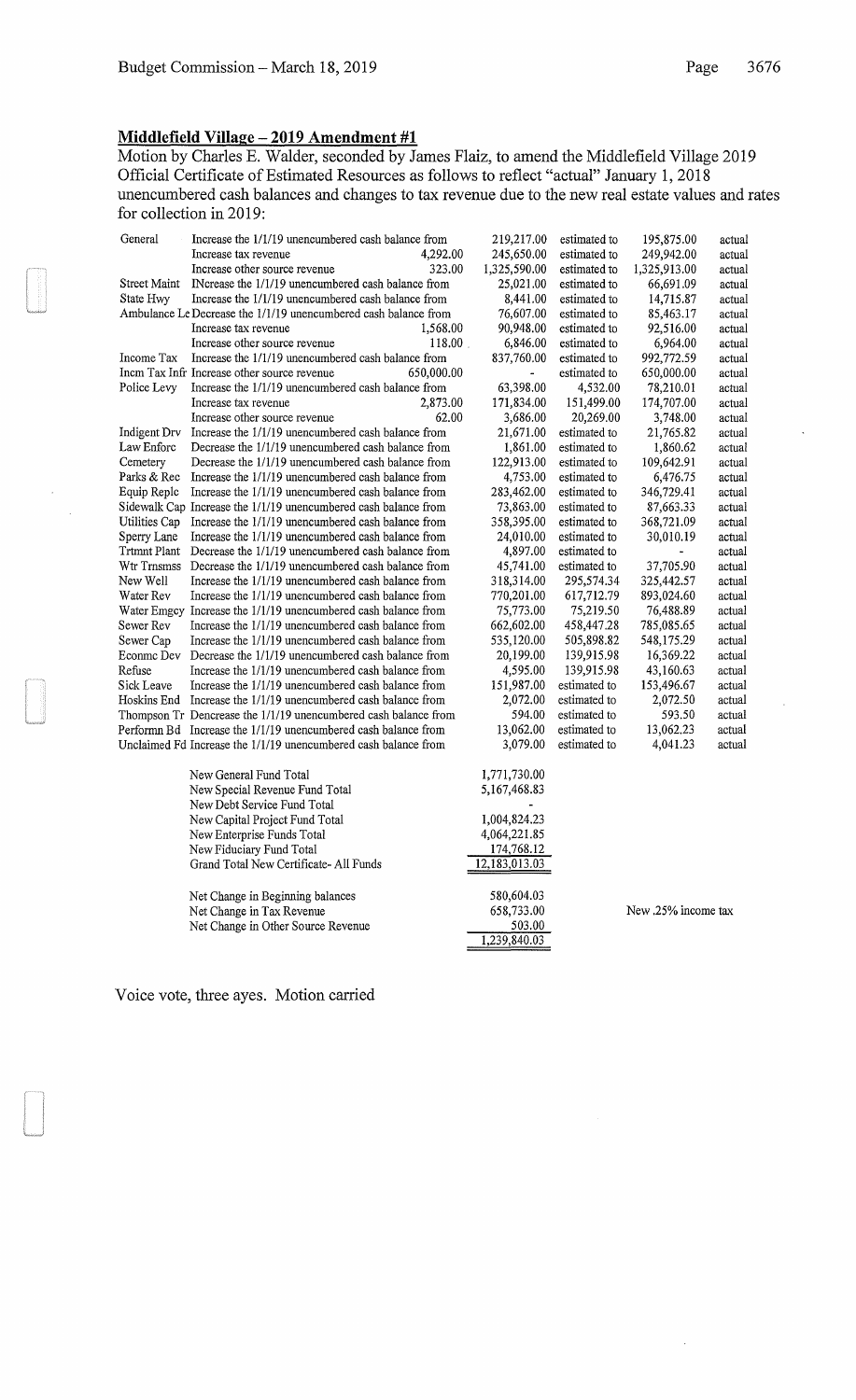## **Middlefield Village- 2019 Amendment #1**

Motion by Charles E. Walder, seconded by James Flaiz, to amend the Middlefield Village 2019 Official Certificate of Estimated Resources as follows to reflect "actual" January 1, 2018 unencumbered cash balances and changes to tax revenue due to the new real estate values and rates for collection in 2019:

| General       | Increase the 1/1/19 unencumbered cash balance from              | 219,217.00               | estimated to | 195,875.00   | actual |
|---------------|-----------------------------------------------------------------|--------------------------|--------------|--------------|--------|
|               | Increase tax revenue<br>4,292.00                                | 245,650.00               | estimated to | 249,942.00   | actual |
|               | 323.00<br>Increase other source revenue                         | 1,325,590.00             | estimated to | 1,325,913.00 | actual |
| Street Maint  | INcrease the 1/1/19 unencumbered cash balance from              | 25,021.00                | estimated to | 66,691.09    | actual |
| State Hwy     | Increase the 1/1/19 unencumbered cash balance from              | 8,441.00                 | estimated to | 14,715.87    | actual |
|               | Ambulance Le Decrease the 1/1/19 unencumbered cash balance from | 76,607.00                | estimated to | 85,463.17    | actual |
|               | Increase tax revenue<br>1,568.00                                | 90,948.00                | estimated to | 92,516.00    | actual |
|               | Increase other source revenue<br>118.00                         | 6,846.00                 | estimated to | 6,964.00     | actual |
| Income Tax    | Increase the 1/1/19 unencumbered cash balance from              | 837,760.00               | estimated to | 992,772.59   | actual |
|               | Incm Tax Infr Increase other source revenue<br>650,000.00       | $\overline{\phantom{a}}$ | estimated to | 650,000.00   | actual |
| Police Levy   | Increase the 1/1/19 unencumbered cash balance from              | 63,398.00                | 4,532.00     | 78,210.01    | actual |
|               | Increase tax revenue<br>2,873.00                                | 171,834.00               | 151,499.00   | 174,707.00   | actual |
|               | 62.00<br>Increase other source revenue                          | 3,686.00                 | 20,269.00    | 3,748.00     | actual |
| Indigent Drv  | Increase the 1/1/19 unencumbered cash balance from              | 21,671.00                | estimated to | 21,765.82    | actual |
| Law Enforc    | Decrease the 1/1/19 unencumbered cash balance from              | 1,861.00                 | estimated to | 1,860.62     | actual |
| Cemetery      | Decrease the 1/1/19 unencumbered cash balance from              | 122,913.00               | estimated to | 109,642.91   | actual |
| Parks & Rec   | Increase the 1/1/19 unencumbered cash balance from              | 4,753.00                 | estimated to | 6,476.75     | actual |
| Equip Replc   | Increase the 1/1/19 unencumbered cash balance from              | 283,462.00               | estimated to | 346,729.41   | actual |
|               | Sidewalk Cap Increase the 1/1/19 unencumbered cash balance from | 73,863.00                | estimated to | 87,663.33    | actual |
| Utilities Cap | Increase the 1/1/19 unencumbered cash balance from              | 358,395.00               | estimated to | 368,721.09   | actual |
| Sperry Lane   | Increase the 1/1/19 unencumbered cash balance from              | 24,010.00                | estimated to | 30,010.19    | actual |
| Trtmnt Plant  | Decrease the 1/1/19 unencumbered cash balance from              | 4,897.00                 | estimated to |              | actual |
| Wtr Trnsmss   | Decrease the 1/1/19 unencumbered cash balance from              | 45,741.00                | estimated to | 37,705.90    | actual |
| New Well      | Increase the 1/1/19 unencumbered cash balance from              | 318,314.00               | 295,574.34   | 325,442.57   | actual |
| Water Rev     | Increase the 1/1/19 unencumbered cash balance from              | 770,201.00               | 617,712.79   | 893,024.60   | actual |
|               | Water Emgcy Increase the 1/1/19 unencumbered cash balance from  | 75,773.00                | 75,219.50    | 76,488.89    | actual |
| Sewer Rev     | Increase the 1/1/19 unencumbered cash balance from              | 662,602.00               | 458,447.28   | 785,085.65   | actual |
| Sewer Cap     | Increase the 1/1/19 unencumbered cash balance from              | 535,120.00               | 505,898.82   | 548,175.29   | actual |
| Econme Dev    | Decrease the 1/1/19 unencumbered cash balance from              | 20,199.00                | 139,915.98   | 16,369.22    | actual |
| Refuse        | Increase the 1/1/19 unencumbered cash balance from              | 4,595.00                 | 139,915.98   | 43,160.63    | actual |
| Sick Leave    | Increase the 1/1/19 unencumbered cash balance from              | 151,987.00               | estimated to | 153,496.67   | actual |
|               | Hoskins End Increase the 1/1/19 unencumbered cash balance from  | 2,072.00                 | estimated to | 2,072.50     | actual |
|               | Thompson Tr Dencrease the 1/1/19 unencumbered cash balance from | 594.00                   | estimated to | 593.50       | actual |
|               | Performn Bd Increase the 1/1/19 unencumbered cash balance from  | 13,062.00                | estimated to | 13,062.23    | actual |
|               | Unclaimed Fd Increase the 1/1/19 unencumbered cash balance from | 3,079.00                 | estimated to | 4,041.23     | actual |
|               | New General Fund Total                                          | 1,771,730.00             |              |              |        |
|               | New Special Revenue Fund Total                                  | 5,167,468.83             |              |              |        |
|               | New Debt Service Fund Total                                     |                          |              |              |        |
|               | New Capital Project Fund Total                                  | 1,004,824.23             |              |              |        |
|               | New Enterprise Funds Total                                      | 4,064,221.85             |              |              |        |
|               | New Fiduciary Fund Total                                        | 174,768.12               |              |              |        |
|               | Grand Total New Certificate- All Funds                          | 12,183,013.03            |              |              |        |
|               | Net Change in Beginning balances                                | 580,604.03               |              |              |        |

1,239,840.03

Net Change in Tax Revenue 658,733.00 New .25% income tax Net Change in Other Source Revenue 503.00

Voice vote, three ayes. Motion carried